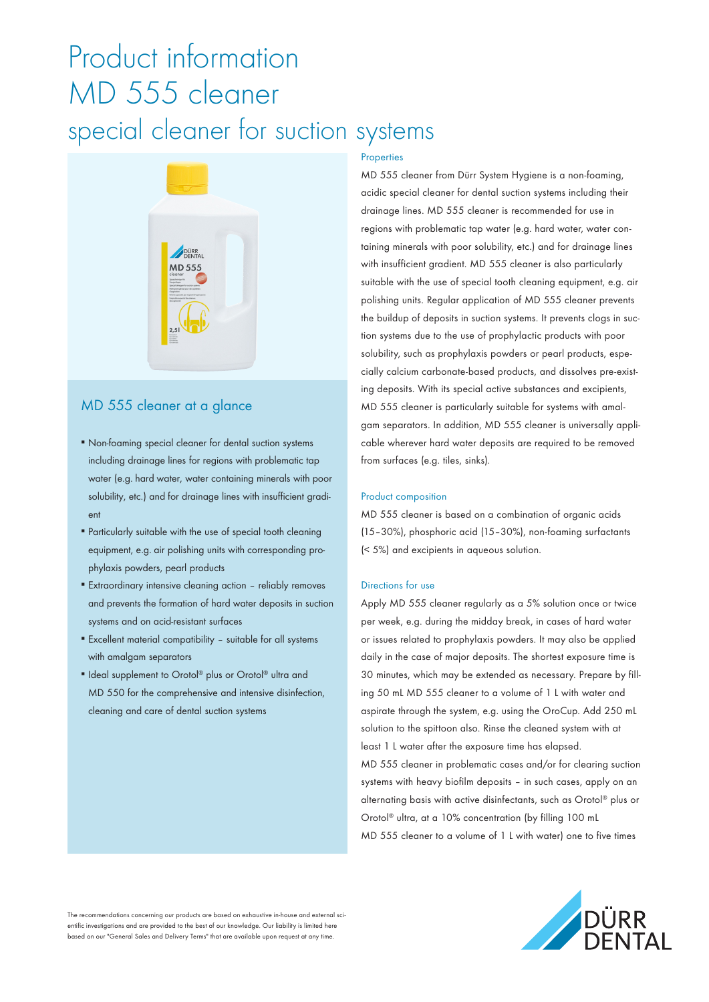## Product information MD 555 cleaner special cleaner for suction systems



## MD 555 cleaner at a glance

- Non-foaming special cleaner for dental suction systems including drainage lines for regions with problematic tap water (e.g. hard water, water containing minerals with poor solubility, etc.) and for drainage lines with insufficient gradient
- Particularly suitable with the use of special tooth cleaning equipment, e.g. air polishing units with corresponding prophylaxis powders, pearl products
- Extraordinary intensive cleaning action reliably removes and prevents the formation of hard water deposits in suction systems and on acid-resistant surfaces
- Excellent material compatibility suitable for all systems with amalgam separators
- Ideal supplement to Orotol® plus or Orotol® ultra and MD 550 for the comprehensive and intensive disinfection, cleaning and care of dental suction systems

## **Properties**

MD 555 cleaner from Dürr System Hygiene is a non-foaming, acidic special cleaner for dental suction systems including their drainage lines. MD 555 cleaner is recommended for use in regions with problematic tap water (e.g. hard water, water containing minerals with poor solubility, etc.) and for drainage lines with insufficient gradient. MD 555 cleaner is also particularly suitable with the use of special tooth cleaning equipment, e.g. air polishing units. Regular application of MD 555 cleaner prevents the buildup of deposits in suction systems. It prevents clogs in suction systems due to the use of prophylactic products with poor solubility, such as prophylaxis powders or pearl products, especially calcium carbonate-based products, and dissolves pre-existing deposits. With its special active substances and excipients, MD 555 cleaner is particularly suitable for systems with amalgam separators. In addition, MD 555 cleaner is universally applicable wherever hard water deposits are required to be removed from surfaces (e.g. tiles, sinks).

## Product composition

MD 555 cleaner is based on a combination of organic acids (15–30%), phosphoric acid (15–30%), non-foaming surfactants (< 5%) and excipients in aqueous solution.

## Directions for use

Apply MD 555 cleaner regularly as a 5% solution once or twice per week, e.g. during the midday break, in cases of hard water or issues related to prophylaxis powders. It may also be applied daily in the case of major deposits. The shortest exposure time is 30 minutes, which may be extended as necessary. Prepare by filling 50 mL MD 555 cleaner to a volume of 1 L with water and aspirate through the system, e.g. using the OroCup. Add 250 mL solution to the spittoon also. Rinse the cleaned system with at least 1 L water after the exposure time has elapsed. MD 555 cleaner in problematic cases and/or for clearing suction systems with heavy biofilm deposits – in such cases, apply on an alternating basis with active disinfectants, such as Orotol® plus or Orotol® ultra, at a 10% concentration (by filling 100 mL MD 555 cleaner to a volume of 1 L with water) one to five times

The recommendations concerning our products are based on exhaustive in-house and external scientific investigations and are provided to the best of our knowledge. Our liability is limited here based on our "General Sales and Delivery Terms" that are available upon request at any time.